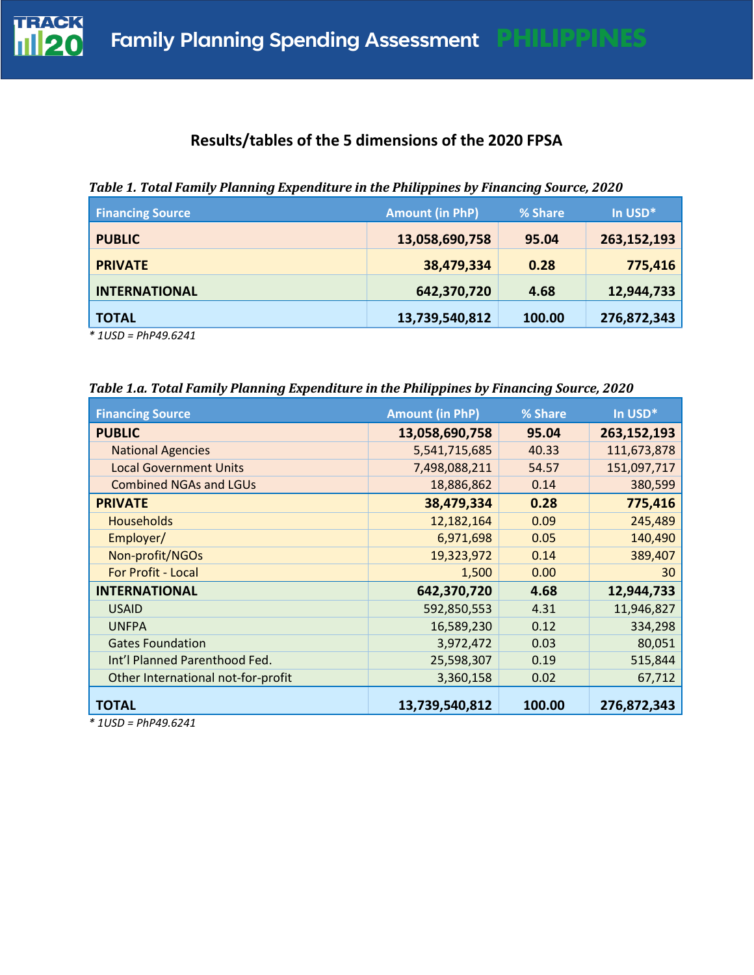

# **Results/tables of the 5 dimensions of the 2020 FPSA**

| <b>Financing Source</b> | <b>Amount (in PhP)</b> | % Share | In USD*     |
|-------------------------|------------------------|---------|-------------|
| <b>PUBLIC</b>           | 13,058,690,758         | 95.04   | 263,152,193 |
| <b>PRIVATE</b>          | 38,479,334             | 0.28    | 775,416     |
| <b>INTERNATIONAL</b>    | 642,370,720            | 4.68    | 12,944,733  |
| <b>TOTAL</b>            | 13,739,540,812         | 100.00  | 276,872,343 |
|                         |                        |         |             |

*Table 1. Total Family Planning Expenditure in the Philippines by Financing Source, 2020*

*\* 1USD = PhP49.6241*

| Table 1.a. Total Family Planning Expenditure in the Philippines by Financing Source, 2020 |  |  |  |
|-------------------------------------------------------------------------------------------|--|--|--|

| <b>Financing Source</b>            | <b>Amount (in PhP)</b> | % Share | In USD*     |  |
|------------------------------------|------------------------|---------|-------------|--|
| <b>PUBLIC</b>                      | 13,058,690,758         | 95.04   | 263,152,193 |  |
| <b>National Agencies</b>           | 5,541,715,685          | 40.33   | 111,673,878 |  |
| <b>Local Government Units</b>      | 7,498,088,211          | 54.57   | 151,097,717 |  |
| <b>Combined NGAs and LGUs</b>      | 18,886,862             | 0.14    | 380,599     |  |
| <b>PRIVATE</b>                     | 38,479,334             | 0.28    | 775,416     |  |
| <b>Households</b>                  | 12,182,164             | 0.09    | 245,489     |  |
| Employer/                          | 6,971,698              | 0.05    | 140,490     |  |
| Non-profit/NGOs                    | 19,323,972             | 0.14    | 389,407     |  |
| <b>For Profit - Local</b>          | 1,500                  | 0.00    | 30          |  |
| <b>INTERNATIONAL</b>               | 642,370,720            | 4.68    | 12,944,733  |  |
| <b>USAID</b>                       | 592,850,553            | 4.31    | 11,946,827  |  |
| <b>UNFPA</b>                       | 16,589,230             | 0.12    | 334,298     |  |
| <b>Gates Foundation</b>            | 3,972,472              | 0.03    | 80,051      |  |
| Int'l Planned Parenthood Fed.      | 25,598,307             | 0.19    | 515,844     |  |
| Other International not-for-profit | 3,360,158              | 0.02    | 67,712      |  |
| <b>TOTAL</b>                       | 13,739,540,812         | 100.00  | 276,872,343 |  |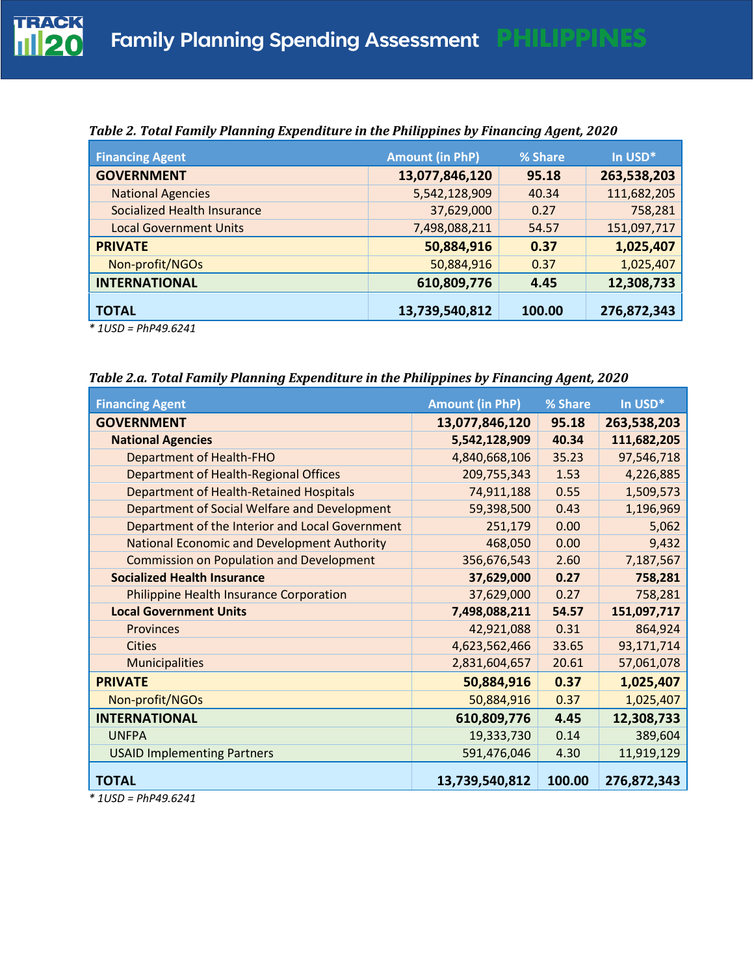| <b>Financing Agent</b>             | <b>Amount (in PhP)</b> | % Share | In USD*     |
|------------------------------------|------------------------|---------|-------------|
| <b>GOVERNMENT</b>                  | 13,077,846,120         | 95.18   | 263,538,203 |
| <b>National Agencies</b>           | 5,542,128,909          | 40.34   | 111,682,205 |
| <b>Socialized Health Insurance</b> | 37,629,000             | 0.27    | 758,281     |
| <b>Local Government Units</b>      | 7,498,088,211          | 54.57   | 151,097,717 |
| <b>PRIVATE</b>                     | 50,884,916             | 0.37    | 1,025,407   |
| Non-profit/NGOs                    | 50,884,916             | 0.37    | 1,025,407   |
| <b>INTERNATIONAL</b>               | 610,809,776            | 4.45    | 12,308,733  |
| <b>TOTAL</b>                       | 13,739,540,812         | 100.00  | 276,872,343 |

*Table 2. Total Family Planning Expenditure in the Philippines by Financing Agent, 2020*

*\* 1USD = PhP49.6241*

*Table 2.a. Total Family Planning Expenditure in the Philippines by Financing Agent, 2020*

| <b>Financing Agent</b>                             | <b>Amount (in PhP)</b> | % Share | In USD*     |
|----------------------------------------------------|------------------------|---------|-------------|
| <b>GOVERNMENT</b>                                  | 13,077,846,120         | 95.18   | 263,538,203 |
| <b>National Agencies</b>                           | 5,542,128,909          | 40.34   | 111,682,205 |
| <b>Department of Health-FHO</b>                    | 4,840,668,106          | 35.23   | 97,546,718  |
| Department of Health-Regional Offices              | 209,755,343            | 1.53    | 4,226,885   |
| <b>Department of Health-Retained Hospitals</b>     | 74,911,188             | 0.55    | 1,509,573   |
| Department of Social Welfare and Development       | 59,398,500             | 0.43    | 1,196,969   |
| Department of the Interior and Local Government    | 251,179                | 0.00    | 5,062       |
| <b>National Economic and Development Authority</b> | 468,050                | 0.00    | 9,432       |
| <b>Commission on Population and Development</b>    | 356,676,543            | 2.60    | 7,187,567   |
| <b>Socialized Health Insurance</b>                 | 37,629,000             | 0.27    | 758,281     |
| Philippine Health Insurance Corporation            | 37,629,000             | 0.27    | 758,281     |
| <b>Local Government Units</b>                      | 7,498,088,211          | 54.57   | 151,097,717 |
| <b>Provinces</b>                                   | 42,921,088             | 0.31    | 864,924     |
| <b>Cities</b>                                      | 4,623,562,466          | 33.65   | 93,171,714  |
| <b>Municipalities</b>                              | 2,831,604,657          | 20.61   | 57,061,078  |
| <b>PRIVATE</b>                                     | 50,884,916             | 0.37    | 1,025,407   |
| Non-profit/NGOs                                    | 50,884,916             | 0.37    | 1,025,407   |
| <b>INTERNATIONAL</b>                               | 610,809,776            | 4.45    | 12,308,733  |
| <b>UNFPA</b>                                       | 19,333,730             | 0.14    | 389,604     |
| <b>USAID Implementing Partners</b>                 | 591,476,046            | 4.30    | 11,919,129  |
| <b>TOTAL</b>                                       | 13,739,540,812         | 100.00  | 276,872,343 |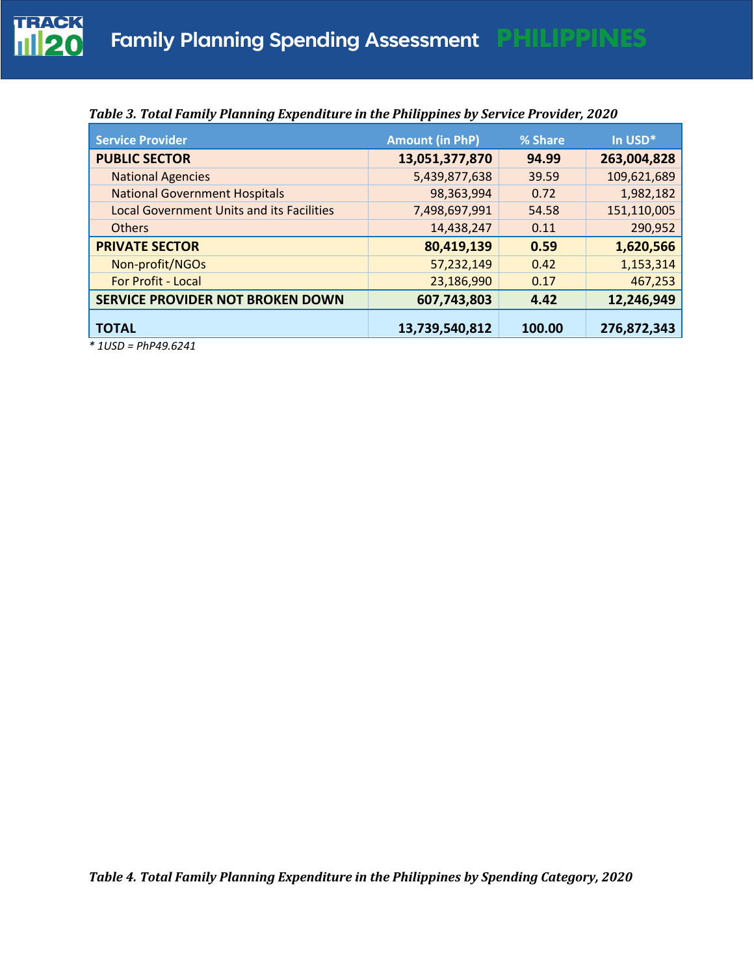

| <b>Service Provider</b>                                                                                                                                                                                                                                                                                                                                                                                                                                                                 | <b>Amount (in PhP)</b> | % Share | In USD*     |
|-----------------------------------------------------------------------------------------------------------------------------------------------------------------------------------------------------------------------------------------------------------------------------------------------------------------------------------------------------------------------------------------------------------------------------------------------------------------------------------------|------------------------|---------|-------------|
| <b>PUBLIC SECTOR</b>                                                                                                                                                                                                                                                                                                                                                                                                                                                                    | 13,051,377,870         | 94.99   | 263,004,828 |
| <b>National Agencies</b>                                                                                                                                                                                                                                                                                                                                                                                                                                                                | 5,439,877,638          | 39.59   | 109,621,689 |
| <b>National Government Hospitals</b>                                                                                                                                                                                                                                                                                                                                                                                                                                                    | 98,363,994             | 0.72    | 1,982,182   |
| <b>Local Government Units and its Facilities</b>                                                                                                                                                                                                                                                                                                                                                                                                                                        | 7,498,697,991          | 54.58   | 151,110,005 |
| <b>Others</b>                                                                                                                                                                                                                                                                                                                                                                                                                                                                           | 14,438,247             | 0.11    | 290,952     |
| <b>PRIVATE SECTOR</b>                                                                                                                                                                                                                                                                                                                                                                                                                                                                   | 80,419,139             | 0.59    | 1,620,566   |
| Non-profit/NGOs                                                                                                                                                                                                                                                                                                                                                                                                                                                                         | 57,232,149             | 0.42    | 1,153,314   |
| For Profit - Local                                                                                                                                                                                                                                                                                                                                                                                                                                                                      | 23,186,990             | 0.17    | 467,253     |
| SERVICE PROVIDER NOT BROKEN DOWN                                                                                                                                                                                                                                                                                                                                                                                                                                                        | 607,743,803            | 4.42    | 12,246,949  |
| <b>TOTAL</b>                                                                                                                                                                                                                                                                                                                                                                                                                                                                            | 13,739,540,812         | 100.00  | 276,872,343 |
| $*$ $\leftarrow$ $\leftarrow$ $\leftarrow$ $\leftarrow$ $\leftarrow$ $\leftarrow$ $\leftarrow$ $\leftarrow$ $\leftarrow$ $\leftarrow$ $\leftarrow$ $\leftarrow$ $\leftarrow$ $\leftarrow$ $\leftarrow$ $\leftarrow$ $\leftarrow$ $\leftarrow$ $\leftarrow$ $\leftarrow$ $\leftarrow$ $\leftarrow$ $\leftarrow$ $\leftarrow$ $\leftarrow$ $\leftarrow$ $\leftarrow$ $\leftarrow$ $\leftarrow$ $\leftarrow$ $\leftarrow$ $\leftarrow$ $\leftarrow$ $\leftarrow$ $\leftarrow$ $\leftarrow$ |                        |         |             |

#### *Table 3. Total Family Planning Expenditure in the Philippines by Service Provider, 2020*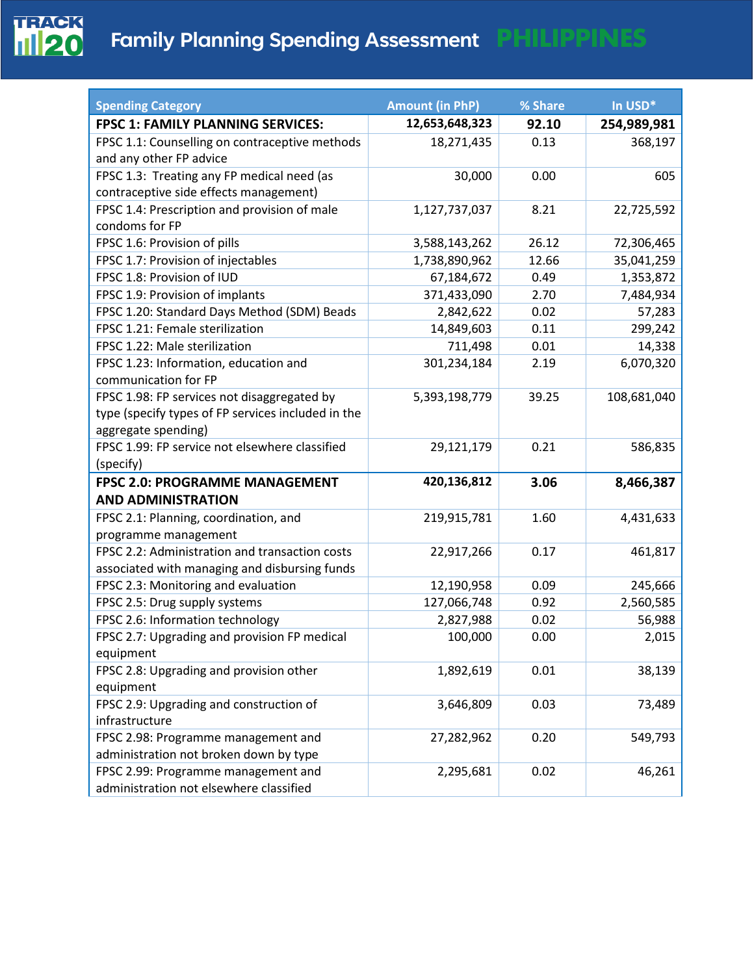

| <b>Spending Category</b>                           | <b>Amount (in PhP)</b> | % Share | In USD*     |
|----------------------------------------------------|------------------------|---------|-------------|
| <b>FPSC 1: FAMILY PLANNING SERVICES:</b>           | 12,653,648,323         | 92.10   | 254,989,981 |
| FPSC 1.1: Counselling on contraceptive methods     | 18,271,435             | 0.13    | 368,197     |
| and any other FP advice                            |                        |         |             |
| FPSC 1.3: Treating any FP medical need (as         | 30,000                 | 0.00    | 605         |
| contraceptive side effects management)             |                        |         |             |
| FPSC 1.4: Prescription and provision of male       | 1,127,737,037          | 8.21    | 22,725,592  |
| condoms for FP                                     |                        |         |             |
| FPSC 1.6: Provision of pills                       | 3,588,143,262          | 26.12   | 72,306,465  |
| FPSC 1.7: Provision of injectables                 | 1,738,890,962          | 12.66   | 35,041,259  |
| FPSC 1.8: Provision of IUD                         | 67,184,672             | 0.49    | 1,353,872   |
| FPSC 1.9: Provision of implants                    | 371,433,090            | 2.70    | 7,484,934   |
| FPSC 1.20: Standard Days Method (SDM) Beads        | 2,842,622              | 0.02    | 57,283      |
| FPSC 1.21: Female sterilization                    | 14,849,603             | 0.11    | 299,242     |
| FPSC 1.22: Male sterilization                      | 711,498                | 0.01    | 14,338      |
| FPSC 1.23: Information, education and              | 301,234,184            | 2.19    | 6,070,320   |
| communication for FP                               |                        |         |             |
| FPSC 1.98: FP services not disaggregated by        | 5,393,198,779          | 39.25   | 108,681,040 |
| type (specify types of FP services included in the |                        |         |             |
| aggregate spending)                                |                        |         |             |
| FPSC 1.99: FP service not elsewhere classified     | 29,121,179             | 0.21    | 586,835     |
| (specify)                                          |                        |         |             |
| FPSC 2.0: PROGRAMME MANAGEMENT                     | 420,136,812            | 3.06    | 8,466,387   |
| <b>AND ADMINISTRATION</b>                          |                        |         |             |
| FPSC 2.1: Planning, coordination, and              | 219,915,781            | 1.60    | 4,431,633   |
| programme management                               |                        |         |             |
| FPSC 2.2: Administration and transaction costs     | 22,917,266             | 0.17    | 461,817     |
| associated with managing and disbursing funds      |                        |         |             |
| FPSC 2.3: Monitoring and evaluation                | 12,190,958             | 0.09    | 245,666     |
| FPSC 2.5: Drug supply systems                      | 127,066,748            | 0.92    | 2,560,585   |
| FPSC 2.6: Information technology                   | 2,827,988              | 0.02    | 56,988      |
| FPSC 2.7: Upgrading and provision FP medical       | 100,000                | 0.00    | 2,015       |
| equipment                                          |                        |         |             |
| FPSC 2.8: Upgrading and provision other            | 1,892,619              | 0.01    | 38,139      |
| equipment                                          |                        |         |             |
| FPSC 2.9: Upgrading and construction of            | 3,646,809              | 0.03    | 73,489      |
| infrastructure                                     |                        |         |             |
| FPSC 2.98: Programme management and                | 27,282,962             | 0.20    | 549,793     |
| administration not broken down by type             |                        |         |             |
| FPSC 2.99: Programme management and                | 2,295,681              | 0.02    | 46,261      |
| administration not elsewhere classified            |                        |         |             |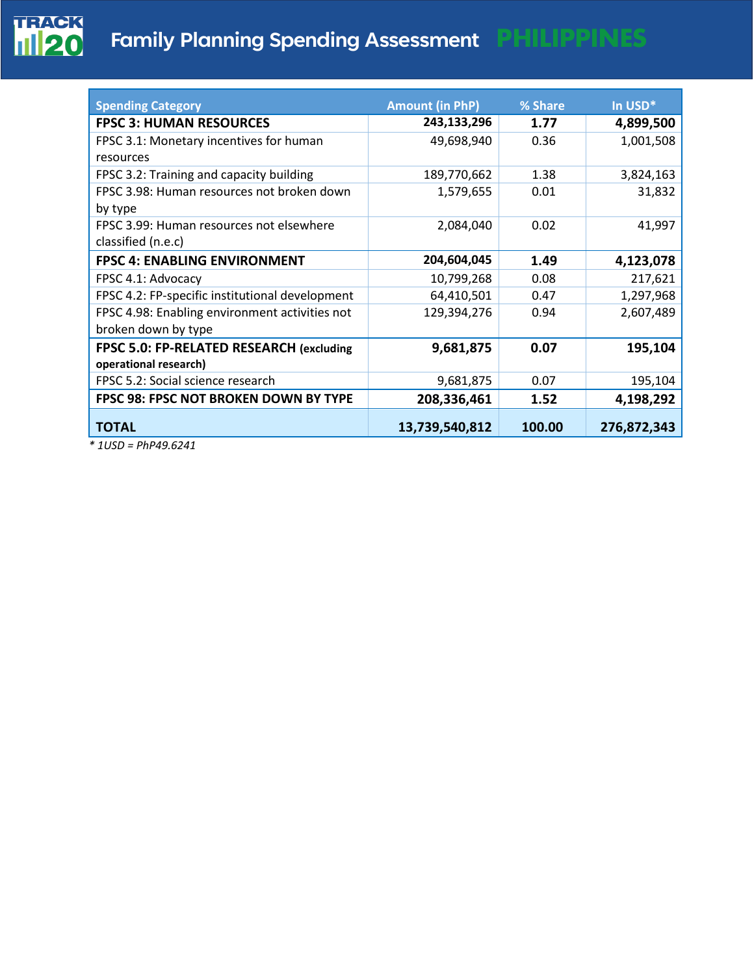

| <b>Spending Category</b>                        | <b>Amount (in PhP)</b> | % Share | In USD*     |
|-------------------------------------------------|------------------------|---------|-------------|
| <b>FPSC 3: HUMAN RESOURCES</b>                  | 243,133,296            | 1.77    | 4,899,500   |
| FPSC 3.1: Monetary incentives for human         | 49,698,940             | 0.36    | 1,001,508   |
| resources                                       |                        |         |             |
| FPSC 3.2: Training and capacity building        | 189,770,662            | 1.38    | 3,824,163   |
| FPSC 3.98: Human resources not broken down      | 1,579,655              | 0.01    | 31,832      |
| by type                                         |                        |         |             |
| FPSC 3.99: Human resources not elsewhere        | 2,084,040              | 0.02    | 41,997      |
| classified (n.e.c)                              |                        |         |             |
| <b>FPSC 4: ENABLING ENVIRONMENT</b>             | 204,604,045            | 1.49    | 4,123,078   |
| FPSC 4.1: Advocacy                              | 10,799,268             | 0.08    | 217,621     |
| FPSC 4.2: FP-specific institutional development | 64,410,501             | 0.47    | 1,297,968   |
| FPSC 4.98: Enabling environment activities not  | 129,394,276            | 0.94    | 2,607,489   |
| broken down by type                             |                        |         |             |
| FPSC 5.0: FP-RELATED RESEARCH (excluding        | 9,681,875              | 0.07    | 195,104     |
| operational research)                           |                        |         |             |
| FPSC 5.2: Social science research               | 9,681,875              | 0.07    | 195,104     |
| FPSC 98: FPSC NOT BROKEN DOWN BY TYPE           | 208,336,461            | 1.52    | 4,198,292   |
| <b>TOTAL</b>                                    | 13,739,540,812         | 100.00  | 276,872,343 |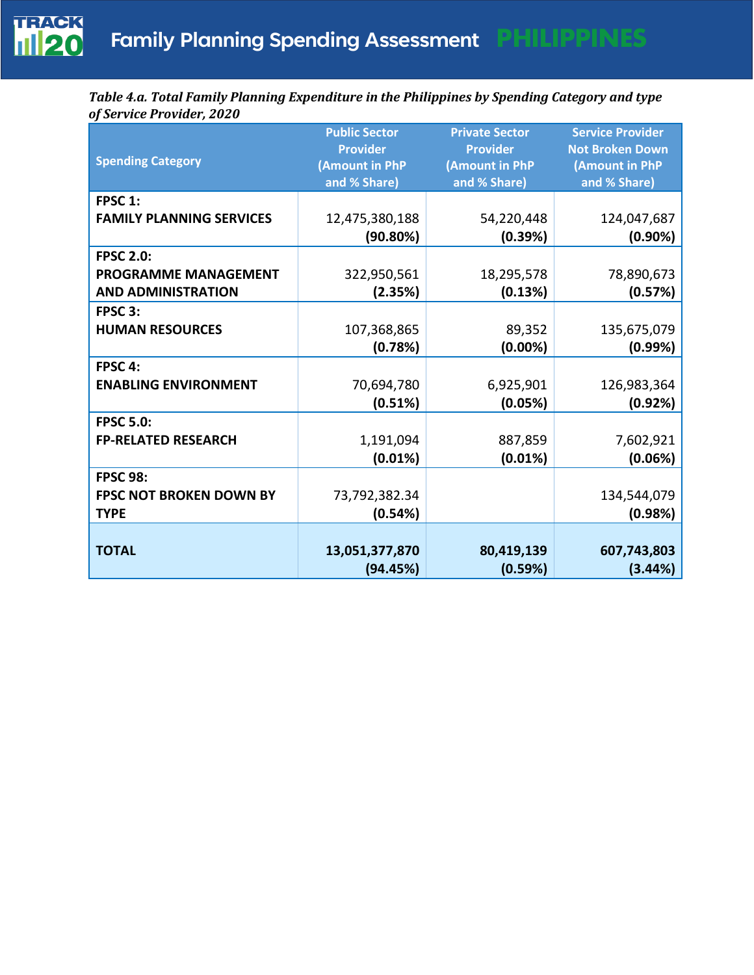

*Table 4.a. Total Family Planning Expenditure in the Philippines by Spending Category and type of Service Provider, 2020*

| <b>Spending Category</b>        | <b>Public Sector</b><br><b>Provider</b><br>(Amount in PhP | <b>Private Sector</b><br><b>Provider</b><br>(Amount in PhP | <b>Service Provider</b><br><b>Not Broken Down</b><br>(Amount in PhP |
|---------------------------------|-----------------------------------------------------------|------------------------------------------------------------|---------------------------------------------------------------------|
|                                 | and % Share)                                              | and % Share)                                               | and % Share)                                                        |
| FPSC 1:                         |                                                           |                                                            |                                                                     |
| <b>FAMILY PLANNING SERVICES</b> | 12,475,380,188                                            | 54,220,448                                                 | 124,047,687                                                         |
|                                 | (90.80%)                                                  | (0.39%)                                                    | $(0.90\%)$                                                          |
| <b>FPSC 2.0:</b>                |                                                           |                                                            |                                                                     |
| <b>PROGRAMME MANAGEMENT</b>     | 322,950,561                                               | 18,295,578                                                 | 78,890,673                                                          |
| <b>AND ADMINISTRATION</b>       | (2.35%)                                                   | (0.13%)                                                    | (0.57%)                                                             |
| FPSC 3:                         |                                                           |                                                            |                                                                     |
| <b>HUMAN RESOURCES</b>          | 107,368,865                                               | 89,352                                                     | 135,675,079                                                         |
|                                 | (0.78%)                                                   | $(0.00\%)$                                                 | (0.99%)                                                             |
| FPSC 4:                         |                                                           |                                                            |                                                                     |
| <b>ENABLING ENVIRONMENT</b>     | 70,694,780                                                | 6,925,901                                                  | 126,983,364                                                         |
|                                 | (0.51%)                                                   | (0.05%)                                                    | (0.92%)                                                             |
| <b>FPSC 5.0:</b>                |                                                           |                                                            |                                                                     |
| <b>FP-RELATED RESEARCH</b>      | 1,191,094                                                 | 887,859                                                    | 7,602,921                                                           |
|                                 | (0.01%)                                                   | (0.01%)                                                    | (0.06%)                                                             |
| <b>FPSC 98:</b>                 |                                                           |                                                            |                                                                     |
| <b>FPSC NOT BROKEN DOWN BY</b>  | 73,792,382.34                                             |                                                            | 134,544,079                                                         |
| <b>TYPE</b>                     | (0.54%)                                                   |                                                            | (0.98%)                                                             |
|                                 |                                                           |                                                            |                                                                     |
| <b>TOTAL</b>                    | 13,051,377,870                                            | 80,419,139                                                 | 607,743,803                                                         |
|                                 | (94.45%)                                                  | (0.59%)                                                    | (3.44%)                                                             |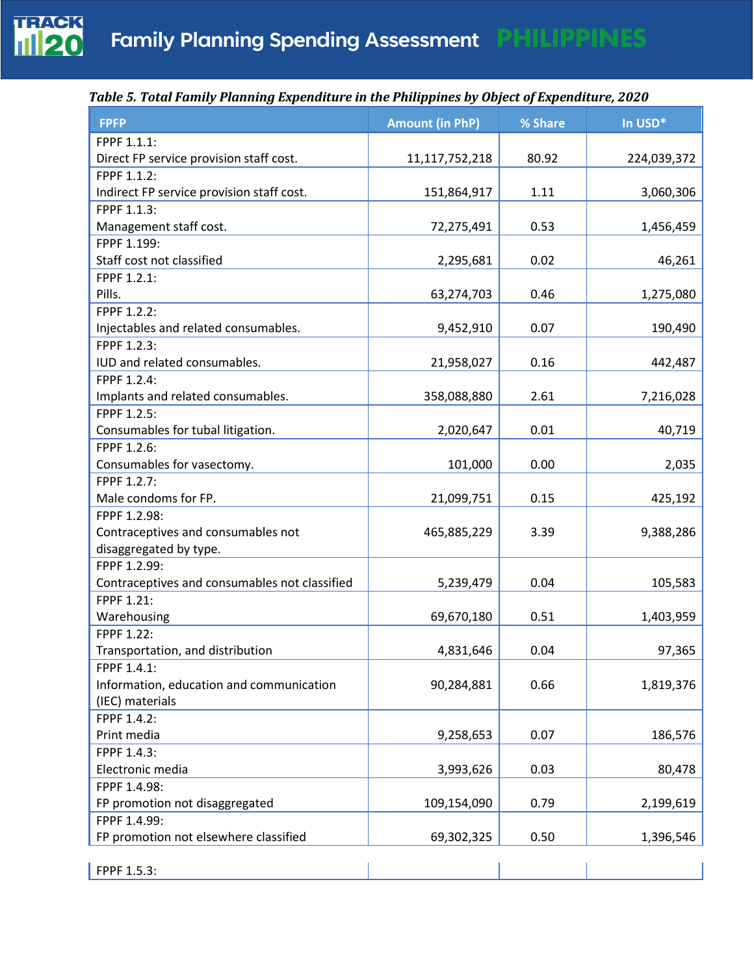

| <b>FPFP</b>                                   | <b>Amount (in PhP)</b> | % Share | In USD*     |
|-----------------------------------------------|------------------------|---------|-------------|
| FPPF 1.1.1:                                   |                        |         |             |
| Direct FP service provision staff cost.       | 11,117,752,218         | 80.92   | 224,039,372 |
| FPPF 1.1.2:                                   |                        |         |             |
| Indirect FP service provision staff cost.     | 151,864,917            | 1.11    | 3,060,306   |
| FPPF 1.1.3:                                   |                        |         |             |
| Management staff cost.                        | 72,275,491             | 0.53    | 1,456,459   |
| FPPF 1.199:                                   |                        |         |             |
| Staff cost not classified                     | 2,295,681              | 0.02    | 46,261      |
| FPPF 1.2.1:                                   |                        |         |             |
| Pills.                                        | 63,274,703             | 0.46    | 1,275,080   |
| FPPF 1.2.2:                                   |                        |         |             |
| Injectables and related consumables.          | 9,452,910              | 0.07    | 190,490     |
| FPPF 1.2.3:                                   |                        |         |             |
| IUD and related consumables.                  | 21,958,027             | 0.16    | 442,487     |
| FPPF 1.2.4:                                   |                        |         |             |
| Implants and related consumables.             | 358,088,880            | 2.61    | 7,216,028   |
| FPPF 1.2.5:                                   |                        |         |             |
| Consumables for tubal litigation.             | 2,020,647              | 0.01    | 40,719      |
| FPPF 1.2.6:                                   |                        |         |             |
| Consumables for vasectomy.                    | 101,000                | 0.00    | 2,035       |
| FPPF 1.2.7:                                   |                        |         |             |
| Male condoms for FP.                          | 21,099,751             | 0.15    | 425,192     |
| FPPF 1.2.98:                                  |                        |         |             |
| Contraceptives and consumables not            | 465,885,229            | 3.39    | 9,388,286   |
| disaggregated by type.                        |                        |         |             |
| FPPF 1.2.99:                                  |                        |         |             |
| Contraceptives and consumables not classified | 5,239,479              | 0.04    | 105,583     |
| FPPF 1.21:                                    |                        |         |             |
| Warehousing                                   | 69,670,180             | 0.51    | 1,403,959   |
| FPPF 1.22:                                    |                        |         |             |
| Transportation, and distribution              | 4,831,646              | 0.04    | 97,365      |
| FPPF 1.4.1:                                   |                        |         |             |
| Information, education and communication      | 90,284,881             | 0.66    | 1,819,376   |
| (IEC) materials                               |                        |         |             |
| FPPF 1.4.2:                                   |                        |         |             |
| Print media                                   | 9,258,653              | 0.07    | 186,576     |
| FPPF 1.4.3:                                   |                        |         |             |
| Electronic media                              | 3,993,626              | 0.03    | 80,478      |
| FPPF 1.4.98:                                  |                        |         |             |
| FP promotion not disaggregated                | 109,154,090            | 0.79    | 2,199,619   |
| FPPF 1.4.99:                                  |                        |         |             |
| FP promotion not elsewhere classified         | 69,302,325             | 0.50    | 1,396,546   |
| FPPF 1.5.3:                                   |                        |         |             |
|                                               |                        |         |             |

#### *Table 5. Total Family Planning Expenditure in the Philippines by Object of Expenditure, 2020*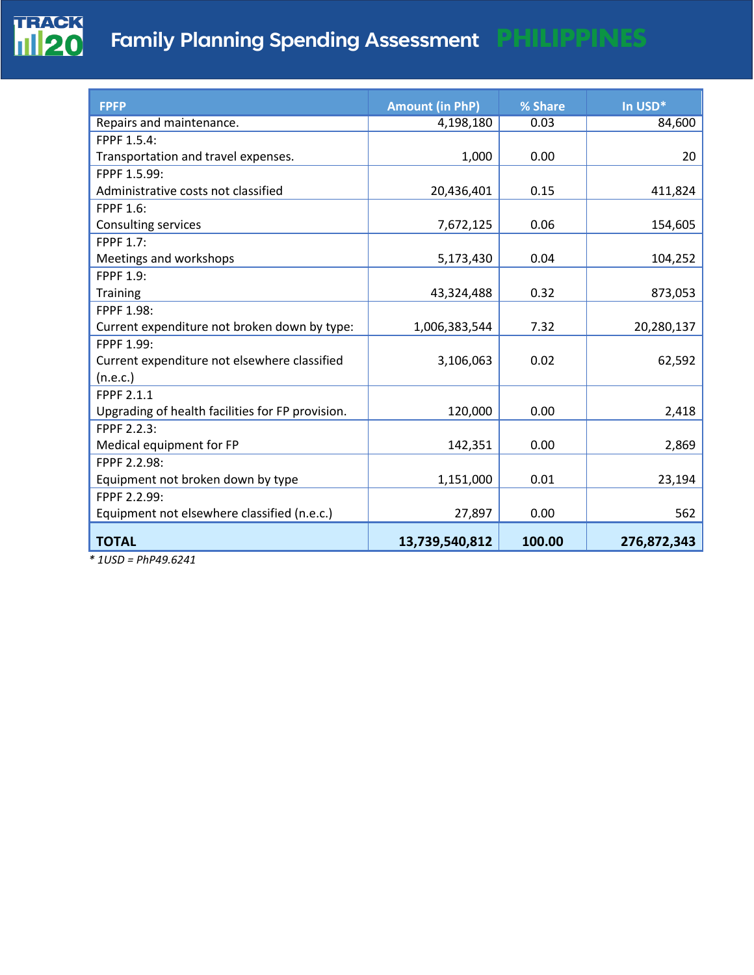

| <b>FPFP</b>                                      | <b>Amount (in PhP)</b> | % Share | In USD*     |
|--------------------------------------------------|------------------------|---------|-------------|
| Repairs and maintenance.                         | 4,198,180              | 0.03    | 84,600      |
| FPPF 1.5.4:                                      |                        |         |             |
| Transportation and travel expenses.              | 1,000                  | 0.00    | 20          |
| FPPF 1.5.99:                                     |                        |         |             |
| Administrative costs not classified              | 20,436,401             | 0.15    | 411,824     |
| <b>FPPF 1.6:</b>                                 |                        |         |             |
| Consulting services                              | 7,672,125              | 0.06    | 154,605     |
| <b>FPPF 1.7:</b>                                 |                        |         |             |
| Meetings and workshops                           | 5,173,430              | 0.04    | 104,252     |
| <b>FPPF 1.9:</b>                                 |                        |         |             |
| Training                                         | 43,324,488             | 0.32    | 873,053     |
| FPPF 1.98:                                       |                        |         |             |
| Current expenditure not broken down by type:     | 1,006,383,544          | 7.32    | 20,280,137  |
| FPPF 1.99:                                       |                        |         |             |
| Current expenditure not elsewhere classified     | 3,106,063              | 0.02    | 62,592      |
| (n.e.c.)                                         |                        |         |             |
| <b>FPPF 2.1.1</b>                                |                        |         |             |
| Upgrading of health facilities for FP provision. | 120,000                | 0.00    | 2,418       |
| FPPF 2.2.3:                                      |                        |         |             |
| Medical equipment for FP                         | 142,351                | 0.00    | 2,869       |
| FPPF 2.2.98:                                     |                        |         |             |
| Equipment not broken down by type                | 1,151,000              | 0.01    | 23,194      |
| FPPF 2.2.99:                                     |                        |         |             |
| Equipment not elsewhere classified (n.e.c.)      | 27,897                 | 0.00    | 562         |
| <b>TOTAL</b>                                     | 13,739,540,812         | 100.00  | 276,872,343 |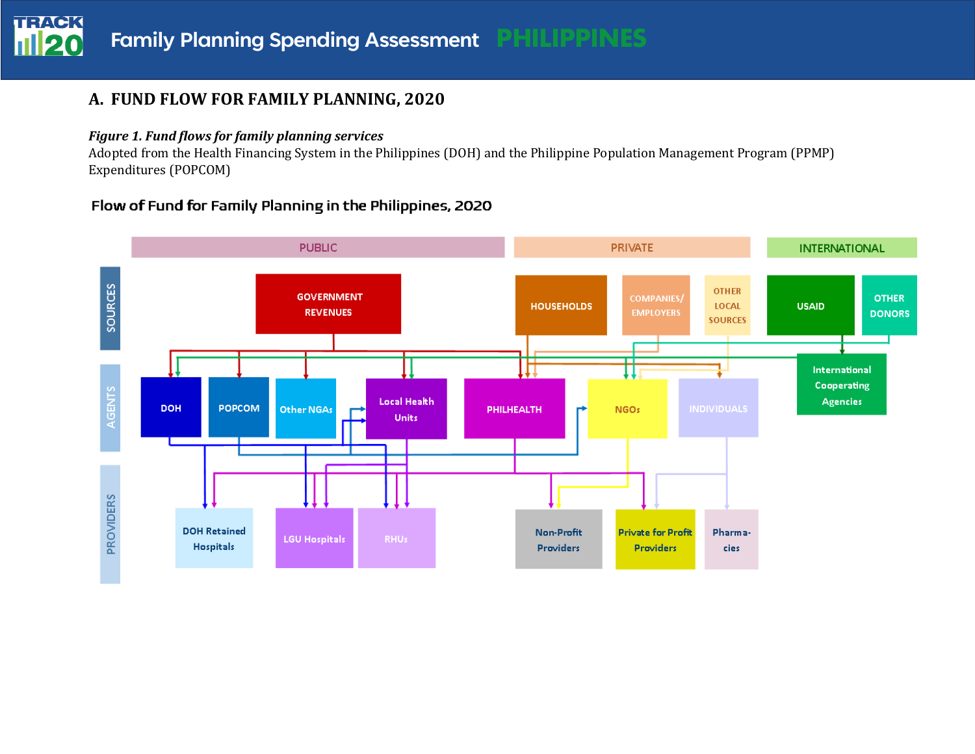# **A. FUND FLOW FOR FAMILY PLANNING, 2020**

#### *Figure 1. Fund flows for family planning services*

Adopted from the Health Financing System in the Philippines (DOH) and the Philippine Population Management Program (PPMP) Expenditures (POPCOM)

## Flow of Fund for Family Planning in the Philippines, 2020

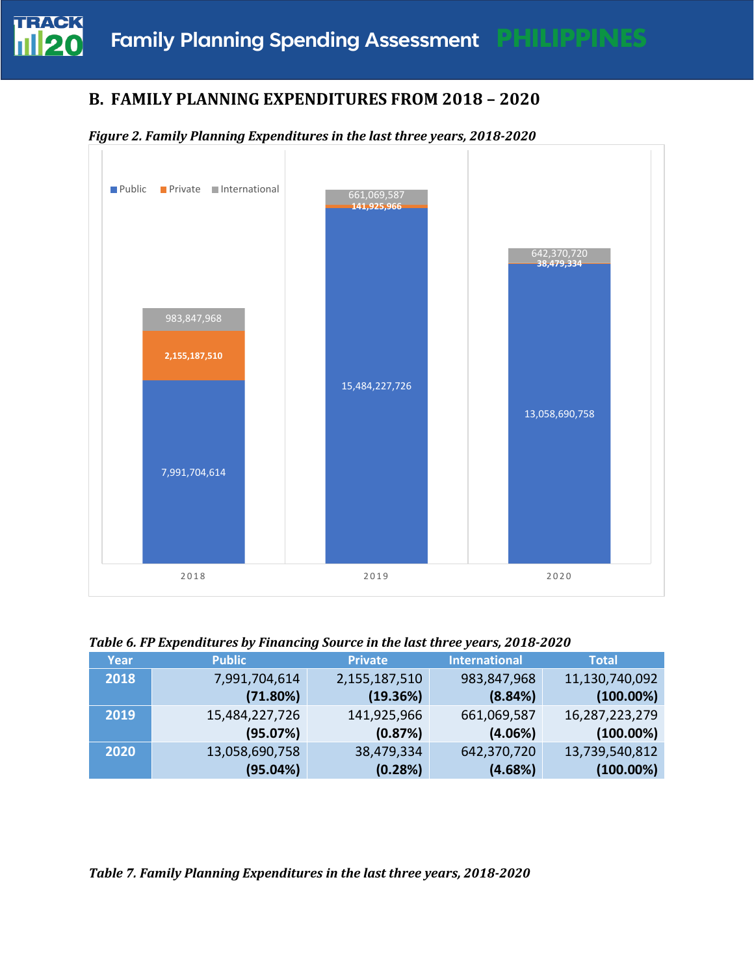

# **B. FAMILY PLANNING EXPENDITURES FROM 2018 – 2020**





*Table 6. FP Expenditures by Financing Source in the last three years, 2018-2020* 

| Year | <b>Public</b>  | <b>Private</b> | <b>International</b> | <b>Total</b>   |
|------|----------------|----------------|----------------------|----------------|
| 2018 | 7,991,704,614  | 2,155,187,510  | 983,847,968          | 11,130,740,092 |
|      | (71.80%)       | (19.36%)       | (8.84%)              | $(100.00\%)$   |
| 2019 | 15,484,227,726 | 141,925,966    | 661,069,587          | 16,287,223,279 |
|      | (95.07%)       | (0.87%)        | (4.06%)              | $(100.00\%)$   |
| 2020 | 13,058,690,758 | 38,479,334     | 642,370,720          | 13,739,540,812 |
|      | (95.04%)       | (0.28%)        | (4.68%)              | $(100.00\%)$   |

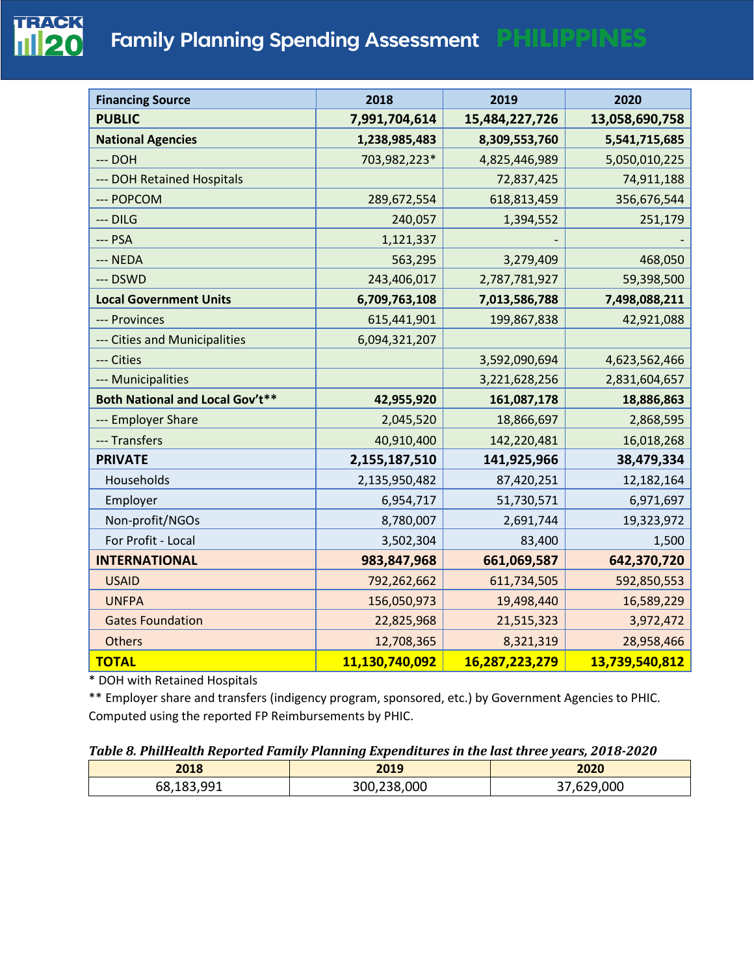# **Family Planning Spending Assessment PHILIPPINES**

| <b>Financing Source</b>                | 2018           | 2019           | 2020           |
|----------------------------------------|----------------|----------------|----------------|
| <b>PUBLIC</b>                          | 7,991,704,614  | 15,484,227,726 | 13,058,690,758 |
| <b>National Agencies</b>               | 1,238,985,483  | 8,309,553,760  | 5,541,715,685  |
| --- DOH                                | 703,982,223*   | 4,825,446,989  | 5,050,010,225  |
| --- DOH Retained Hospitals             |                | 72,837,425     | 74,911,188     |
| --- POPCOM                             | 289,672,554    | 618,813,459    | 356,676,544    |
| $-$ DILG                               | 240,057        | 1,394,552      | 251,179        |
| $--$ PSA                               | 1,121,337      |                |                |
| --- NEDA                               | 563,295        | 3,279,409      | 468,050        |
| --- DSWD                               | 243,406,017    | 2,787,781,927  | 59,398,500     |
| <b>Local Government Units</b>          | 6,709,763,108  | 7,013,586,788  | 7,498,088,211  |
| --- Provinces                          | 615,441,901    | 199,867,838    | 42,921,088     |
| --- Cities and Municipalities          | 6,094,321,207  |                |                |
| --- Cities                             |                | 3,592,090,694  | 4,623,562,466  |
| --- Municipalities                     |                | 3,221,628,256  | 2,831,604,657  |
| <b>Both National and Local Gov't**</b> | 42,955,920     | 161,087,178    | 18,886,863     |
| --- Employer Share                     | 2,045,520      | 18,866,697     | 2,868,595      |
| --- Transfers                          | 40,910,400     | 142,220,481    | 16,018,268     |
| <b>PRIVATE</b>                         | 2,155,187,510  | 141,925,966    | 38,479,334     |
| Households                             | 2,135,950,482  | 87,420,251     | 12,182,164     |
| Employer                               | 6,954,717      | 51,730,571     | 6,971,697      |
| Non-profit/NGOs                        | 8,780,007      | 2,691,744      | 19,323,972     |
| For Profit - Local                     | 3,502,304      | 83,400         | 1,500          |
| <b>INTERNATIONAL</b>                   | 983,847,968    | 661,069,587    | 642,370,720    |
| <b>USAID</b>                           | 792,262,662    | 611,734,505    | 592,850,553    |
| <b>UNFPA</b>                           | 156,050,973    | 19,498,440     | 16,589,229     |
| <b>Gates Foundation</b>                | 22,825,968     | 21,515,323     | 3,972,472      |
| <b>Others</b>                          | 12,708,365     | 8,321,319      | 28,958,466     |
| <b>TOTAL</b>                           | 11,130,740,092 | 16,287,223,279 | 13,739,540,812 |

\* DOH with Retained Hospitals

\*\* Employer share and transfers (indigency program, sponsored, etc.) by Government Agencies to PHIC. Computed using the reported FP Reimbursements by PHIC.

#### *Table 8. PhilHealth Reported Family Planning Expenditures in the last three years, 2018-2020*

| 2018       | 2019        | 2020       |
|------------|-------------|------------|
| 68,183,991 | 300,238,000 | 37,629,000 |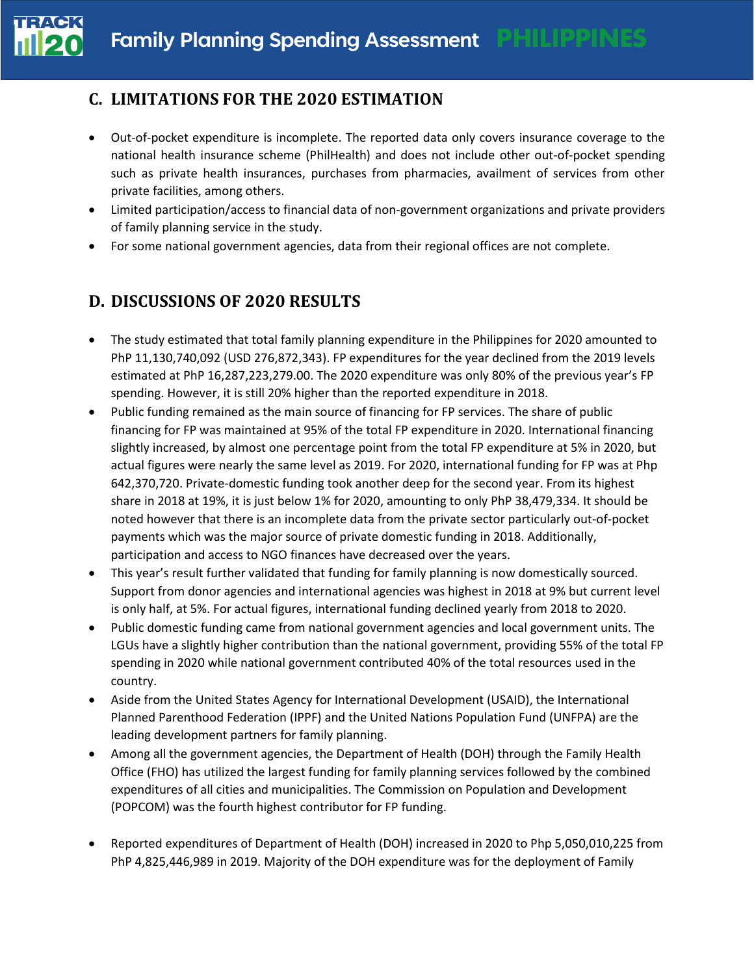# **C. LIMITATIONS FOR THE 2020 ESTIMATION**

- Out-of-pocket expenditure is incomplete. The reported data only covers insurance coverage to the national health insurance scheme (PhilHealth) and does not include other out-of-pocket spending such as private health insurances, purchases from pharmacies, availment of services from other private facilities, among others.
- Limited participation/access to financial data of non-government organizations and private providers of family planning service in the study.
- For some national government agencies, data from their regional offices are not complete.

# **D. DISCUSSIONS OF 2020 RESULTS**

- The study estimated that total family planning expenditure in the Philippines for 2020 amounted to PhP 11,130,740,092 (USD 276,872,343). FP expenditures for the year declined from the 2019 levels estimated at PhP 16,287,223,279.00. The 2020 expenditure was only 80% of the previous year's FP spending. However, it is still 20% higher than the reported expenditure in 2018.
- Public funding remained as the main source of financing for FP services. The share of public financing for FP was maintained at 95% of the total FP expenditure in 2020. International financing slightly increased, by almost one percentage point from the total FP expenditure at 5% in 2020, but actual figures were nearly the same level as 2019. For 2020, international funding for FP was at Php 642,370,720. Private-domestic funding took another deep for the second year. From its highest share in 2018 at 19%, it is just below 1% for 2020, amounting to only PhP 38,479,334. It should be noted however that there is an incomplete data from the private sector particularly out-of-pocket payments which was the major source of private domestic funding in 2018. Additionally, participation and access to NGO finances have decreased over the years.
- This year's result further validated that funding for family planning is now domestically sourced. Support from donor agencies and international agencies was highest in 2018 at 9% but current level is only half, at 5%. For actual figures, international funding declined yearly from 2018 to 2020.
- Public domestic funding came from national government agencies and local government units. The LGUs have a slightly higher contribution than the national government, providing 55% of the total FP spending in 2020 while national government contributed 40% of the total resources used in the country.
- Aside from the United States Agency for International Development (USAID), the International Planned Parenthood Federation (IPPF) and the United Nations Population Fund (UNFPA) are the leading development partners for family planning.
- Among all the government agencies, the Department of Health (DOH) through the Family Health Office (FHO) has utilized the largest funding for family planning services followed by the combined expenditures of all cities and municipalities. The Commission on Population and Development (POPCOM) was the fourth highest contributor for FP funding.
- Reported expenditures of Department of Health (DOH) increased in 2020 to Php 5,050,010,225 from PhP 4,825,446,989 in 2019. Majority of the DOH expenditure was for the deployment of Family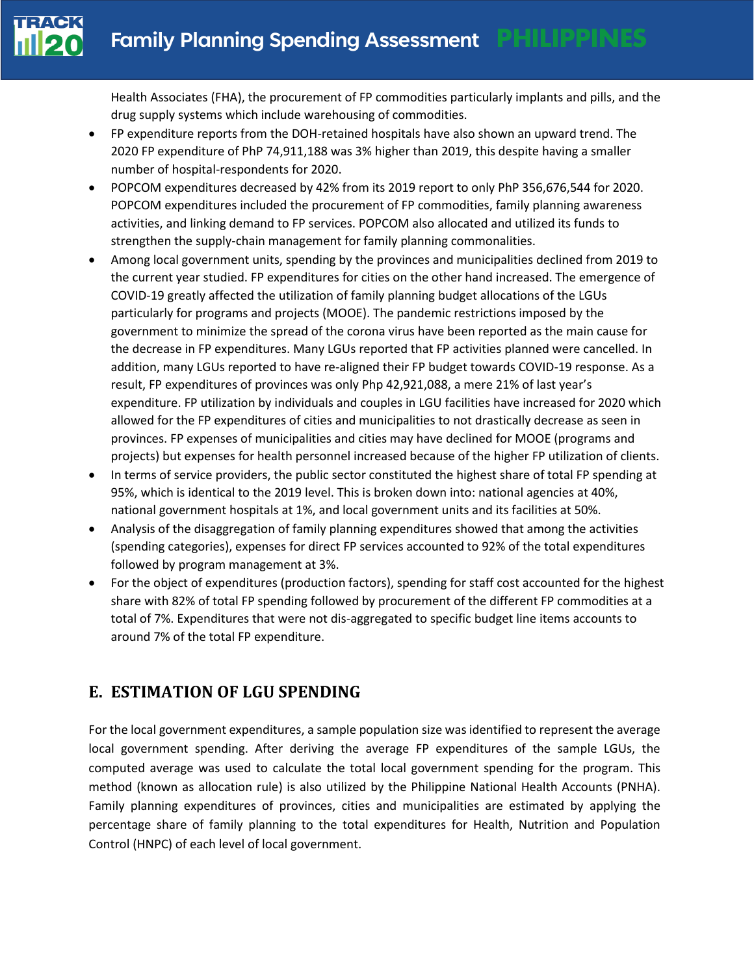

Health Associates (FHA), the procurement of FP commodities particularly implants and pills, and the drug supply systems which include warehousing of commodities.

- FP expenditure reports from the DOH-retained hospitals have also shown an upward trend. The 2020 FP expenditure of PhP 74,911,188 was 3% higher than 2019, this despite having a smaller number of hospital-respondents for 2020.
- POPCOM expenditures decreased by 42% from its 2019 report to only PhP 356,676,544 for 2020. POPCOM expenditures included the procurement of FP commodities, family planning awareness activities, and linking demand to FP services. POPCOM also allocated and utilized its funds to strengthen the supply-chain management for family planning commonalities.
- Among local government units, spending by the provinces and municipalities declined from 2019 to the current year studied. FP expenditures for cities on the other hand increased. The emergence of COVID-19 greatly affected the utilization of family planning budget allocations of the LGUs particularly for programs and projects (MOOE). The pandemic restrictions imposed by the government to minimize the spread of the corona virus have been reported as the main cause for the decrease in FP expenditures. Many LGUs reported that FP activities planned were cancelled. In addition, many LGUs reported to have re-aligned their FP budget towards COVID-19 response. As a result, FP expenditures of provinces was only Php 42,921,088, a mere 21% of last year's expenditure. FP utilization by individuals and couples in LGU facilities have increased for 2020 which allowed for the FP expenditures of cities and municipalities to not drastically decrease as seen in provinces. FP expenses of municipalities and cities may have declined for MOOE (programs and projects) but expenses for health personnel increased because of the higher FP utilization of clients.
- In terms of service providers, the public sector constituted the highest share of total FP spending at 95%, which is identical to the 2019 level. This is broken down into: national agencies at 40%, national government hospitals at 1%, and local government units and its facilities at 50%.
- Analysis of the disaggregation of family planning expenditures showed that among the activities (spending categories), expenses for direct FP services accounted to 92% of the total expenditures followed by program management at 3%.
- For the object of expenditures (production factors), spending for staff cost accounted for the highest share with 82% of total FP spending followed by procurement of the different FP commodities at a total of 7%. Expenditures that were not dis-aggregated to specific budget line items accounts to around 7% of the total FP expenditure.

# **E. ESTIMATION OF LGU SPENDING**

For the local government expenditures, a sample population size was identified to represent the average local government spending. After deriving the average FP expenditures of the sample LGUs, the computed average was used to calculate the total local government spending for the program. This method (known as allocation rule) is also utilized by the Philippine National Health Accounts (PNHA). Family planning expenditures of provinces, cities and municipalities are estimated by applying the percentage share of family planning to the total expenditures for Health, Nutrition and Population Control (HNPC) of each level of local government.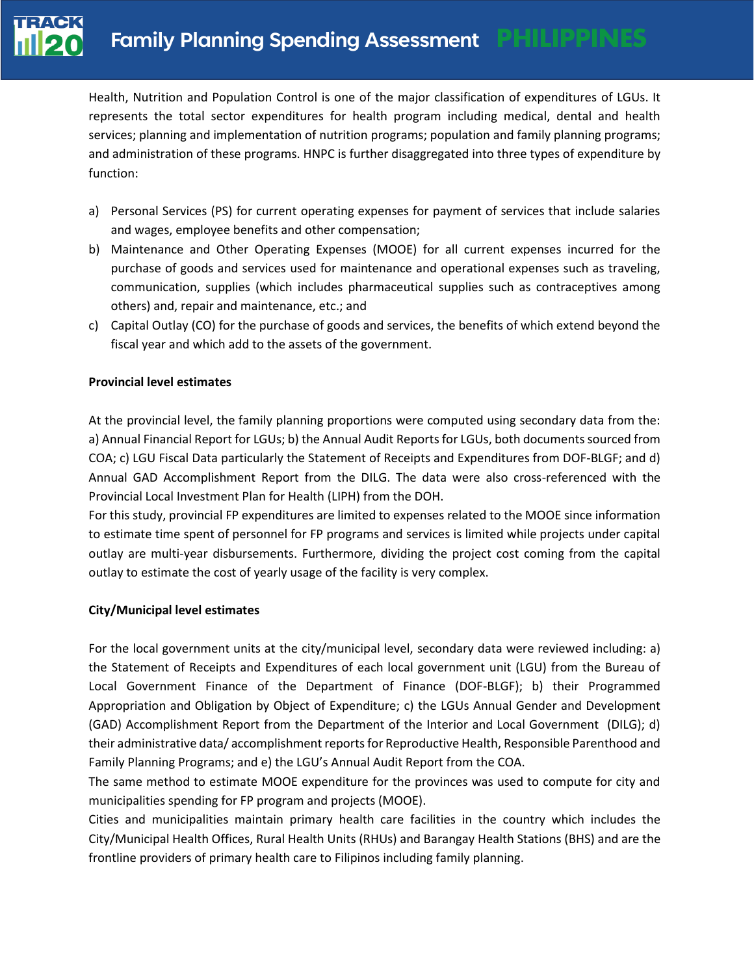

Health, Nutrition and Population Control is one of the major classification of expenditures of LGUs. It represents the total sector expenditures for health program including medical, dental and health services; planning and implementation of nutrition programs; population and family planning programs; and administration of these programs. HNPC is further disaggregated into three types of expenditure by function:

- a) Personal Services (PS) for current operating expenses for payment of services that include salaries and wages, employee benefits and other compensation;
- b) Maintenance and Other Operating Expenses (MOOE) for all current expenses incurred for the purchase of goods and services used for maintenance and operational expenses such as traveling, communication, supplies (which includes pharmaceutical supplies such as contraceptives among others) and, repair and maintenance, etc.; and
- c) Capital Outlay (CO) for the purchase of goods and services, the benefits of which extend beyond the fiscal year and which add to the assets of the government.

#### **Provincial level estimates**

At the provincial level, the family planning proportions were computed using secondary data from the: a) Annual Financial Report for LGUs; b) the Annual Audit Reports for LGUs, both documents sourced from COA; c) LGU Fiscal Data particularly the Statement of Receipts and Expenditures from DOF-BLGF; and d) Annual GAD Accomplishment Report from the DILG. The data were also cross-referenced with the Provincial Local Investment Plan for Health (LIPH) from the DOH.

For this study, provincial FP expenditures are limited to expenses related to the MOOE since information to estimate time spent of personnel for FP programs and services is limited while projects under capital outlay are multi-year disbursements. Furthermore, dividing the project cost coming from the capital outlay to estimate the cost of yearly usage of the facility is very complex.

#### **City/Municipal level estimates**

For the local government units at the city/municipal level, secondary data were reviewed including: a) the Statement of Receipts and Expenditures of each local government unit (LGU) from the Bureau of Local Government Finance of the Department of Finance (DOF-BLGF); b) their Programmed Appropriation and Obligation by Object of Expenditure; c) the LGUs Annual Gender and Development (GAD) Accomplishment Report from the Department of the Interior and Local Government (DILG); d) their administrative data/ accomplishment reports for Reproductive Health, Responsible Parenthood and Family Planning Programs; and e) the LGU's Annual Audit Report from the COA.

The same method to estimate MOOE expenditure for the provinces was used to compute for city and municipalities spending for FP program and projects (MOOE).

Cities and municipalities maintain primary health care facilities in the country which includes the City/Municipal Health Offices, Rural Health Units (RHUs) and Barangay Health Stations (BHS) and are the frontline providers of primary health care to Filipinos including family planning.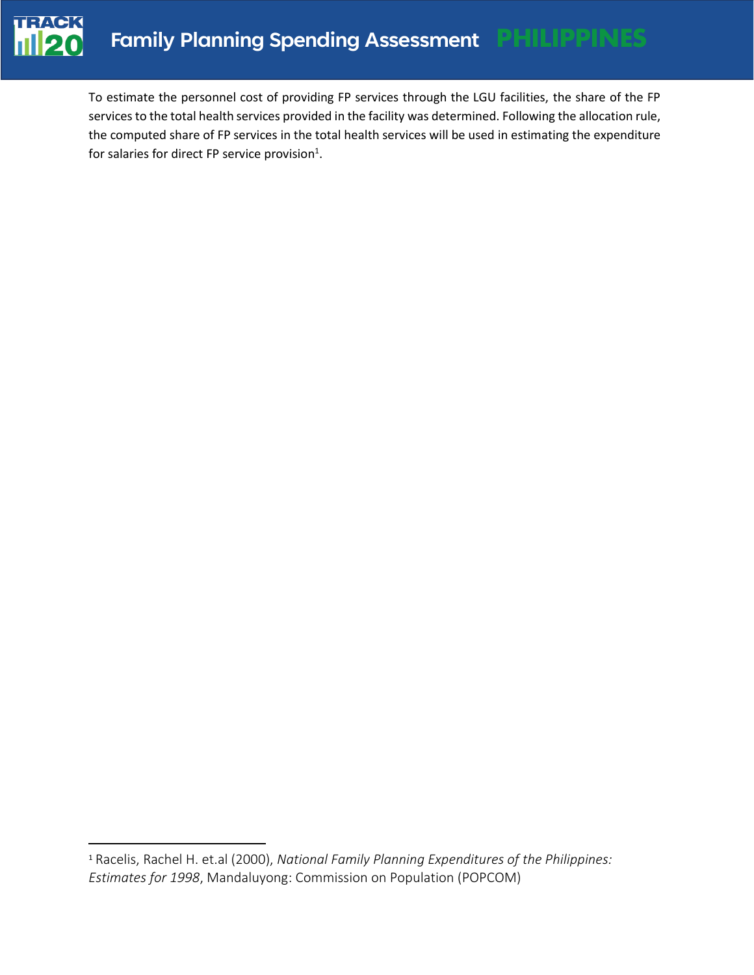

To estimate the personnel cost of providing FP services through the LGU facilities, the share of the FP services to the total health services provided in the facility was determined. Following the allocation rule, the computed share of FP services in the total health services will be used in estimating the expenditure for salaries for direct FP service provision<sup>1</sup>.

<sup>1</sup> Racelis, Rachel H. et.al (2000), *National Family Planning Expenditures of the Philippines: Estimates for 1998*, Mandaluyong: Commission on Population (POPCOM)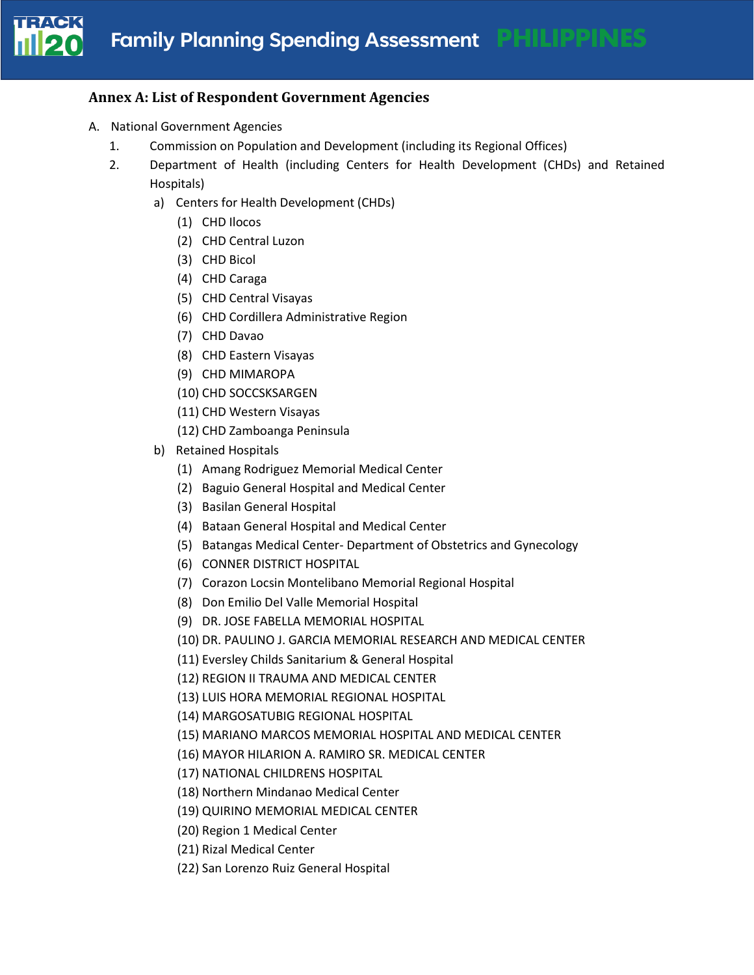

### **Annex A: List of Respondent Government Agencies**

- A. National Government Agencies
	- 1. Commission on Population and Development (including its Regional Offices)
	- 2. Department of Health (including Centers for Health Development (CHDs) and Retained Hospitals)
		- a) Centers for Health Development (CHDs)
			- (1) CHD Ilocos
			- (2) CHD Central Luzon
			- (3) CHD Bicol
			- (4) CHD Caraga
			- (5) CHD Central Visayas
			- (6) CHD Cordillera Administrative Region
			- (7) CHD Davao
			- (8) CHD Eastern Visayas
			- (9) CHD MIMAROPA
			- (10) CHD SOCCSKSARGEN
			- (11) CHD Western Visayas
			- (12) CHD Zamboanga Peninsula
		- b) Retained Hospitals
			- (1) Amang Rodriguez Memorial Medical Center
			- (2) Baguio General Hospital and Medical Center
			- (3) Basilan General Hospital
			- (4) Bataan General Hospital and Medical Center
			- (5) Batangas Medical Center- Department of Obstetrics and Gynecology
			- (6) CONNER DISTRICT HOSPITAL
			- (7) Corazon Locsin Montelibano Memorial Regional Hospital
			- (8) Don Emilio Del Valle Memorial Hospital
			- (9) DR. JOSE FABELLA MEMORIAL HOSPITAL
			- (10) DR. PAULINO J. GARCIA MEMORIAL RESEARCH AND MEDICAL CENTER
			- (11) Eversley Childs Sanitarium & General Hospital
			- (12) REGION II TRAUMA AND MEDICAL CENTER
			- (13) LUIS HORA MEMORIAL REGIONAL HOSPITAL
			- (14) MARGOSATUBIG REGIONAL HOSPITAL
			- (15) MARIANO MARCOS MEMORIAL HOSPITAL AND MEDICAL CENTER
			- (16) MAYOR HILARION A. RAMIRO SR. MEDICAL CENTER
			- (17) NATIONAL CHILDRENS HOSPITAL
			- (18) Northern Mindanao Medical Center
			- (19) QUIRINO MEMORIAL MEDICAL CENTER
			- (20) Region 1 Medical Center
			- (21) Rizal Medical Center
			- (22) San Lorenzo Ruiz General Hospital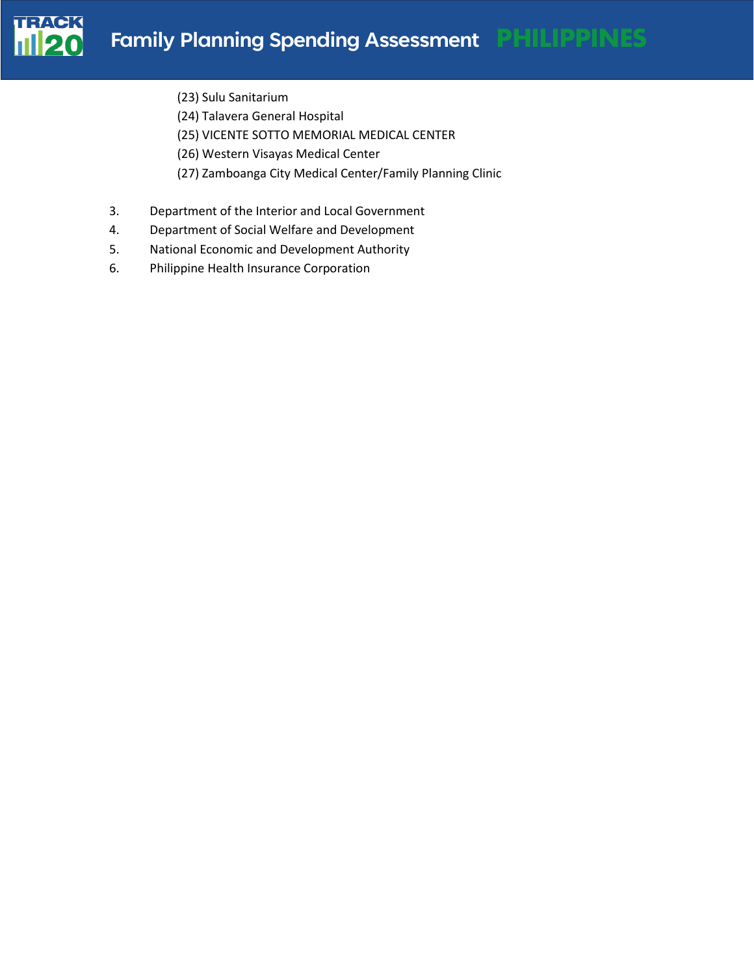

- (23) Sulu Sanitarium
- (24) Talavera General Hospital
- (25) VICENTE SOTTO MEMORIAL MEDICAL CENTER
- (26) Western Visayas Medical Center
- (27) Zamboanga City Medical Center/Family Planning Clinic
- 3. Department of the Interior and Local Government
- 4. Department of Social Welfare and Development
- 5. National Economic and Development Authority
- 6. Philippine Health Insurance Corporation